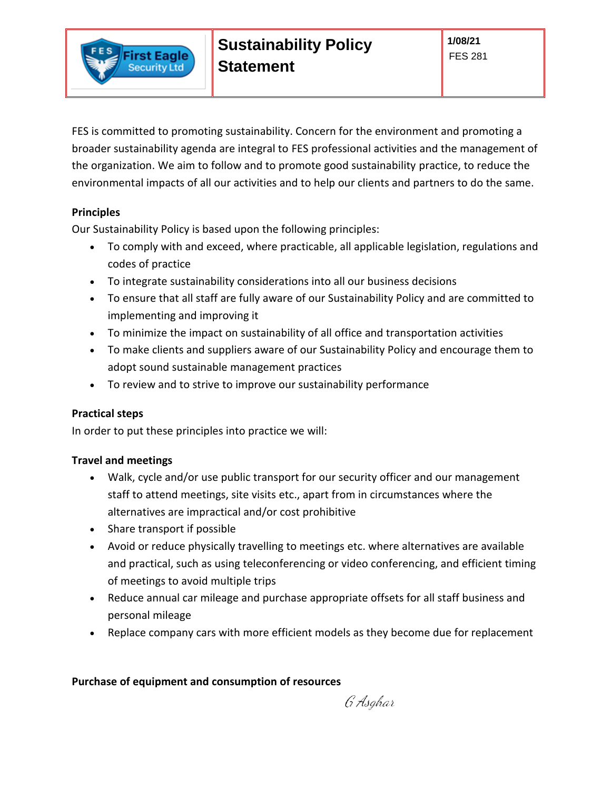FES is committed to promoting sustainability. Concern for the environment and promoting a broader sustainability agenda are integral to FES professional activities and the management of the organization. We aim to follow and to promote good sustainability practice, to reduce the environmental impacts of all our activities and to help our clients and partners to do the same.

### **Principles**

First Eagle **Security Ltd** 

Our Sustainability Policy is based upon the following principles:

- To comply with and exceed, where practicable, all applicable legislation, regulations and codes of practice
- To integrate sustainability considerations into all our business decisions
- To ensure that all staff are fully aware of our Sustainability Policy and are committed to implementing and improving it
- To minimize the impact on sustainability of all office and transportation activities
- To make clients and suppliers aware of our Sustainability Policy and encourage them to adopt sound sustainable management practices
- To review and to strive to improve our sustainability performance

### **Practical steps**

In order to put these principles into practice we will:

### **Travel and meetings**

- Walk, cycle and/or use public transport for our security officer and our management staff to attend meetings, site visits etc., apart from in circumstances where the alternatives are impractical and/or cost prohibitive
- Share transport if possible
- Avoid or reduce physically travelling to meetings etc. where alternatives are available and practical, such as using teleconferencing or video conferencing, and efficient timing of meetings to avoid multiple trips
- Reduce annual car mileage and purchase appropriate offsets for all staff business and personal mileage
- Replace company cars with more efficient models as they become due for replacement

### **Purchase of equipment and consumption of resources**

G Asghar